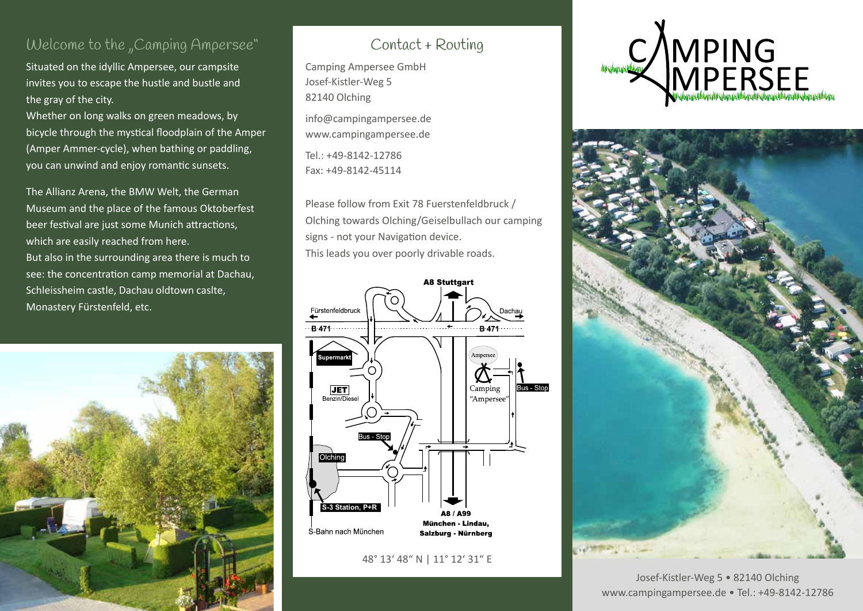### Welcome to the "Camping Ampersee"

Situated on the idyllic Ampersee, our campsite invites you to escape the hustle and bustle and the gray of the city.

Whether on long walks on green meadows, by bicycle through the mystical floodplain of the Amper (Amper Ammer-cycle), when bathing or paddling, you can unwind and enjoy romantic sunsets.

The Allianz Arena, the BMW Welt, the German Museum and the place of the famous Oktoberfest beer festival are just some Munich attractions, which are easily reached from here. But also in the surrounding area there is much to see: the concentration camp memorial at Dachau, Schleissheim castle, Dachau oldtown caslte, Monastery Fürstenfeld, etc.



# Contact + Routing

Camping Ampersee GmbH Josef-Kistler-Weg 5 82140 Olching

info@campingampersee.de www.campingampersee.de

Tel.: +49-8142-12786 Fax: +49-8142-45114

Please follow from Exit 78 Fuerstenfeldbruck / Olching towards Olching/Geiselbullach our camping signs - not your Navigation device. This leads you over poorly drivable roads.



#### 48° 13' 48" N | 11° 12' 31" E





Josef-Kistler-Weg 5 • 82140 Olching www.campingampersee.de • Tel.: +49-8142-12786